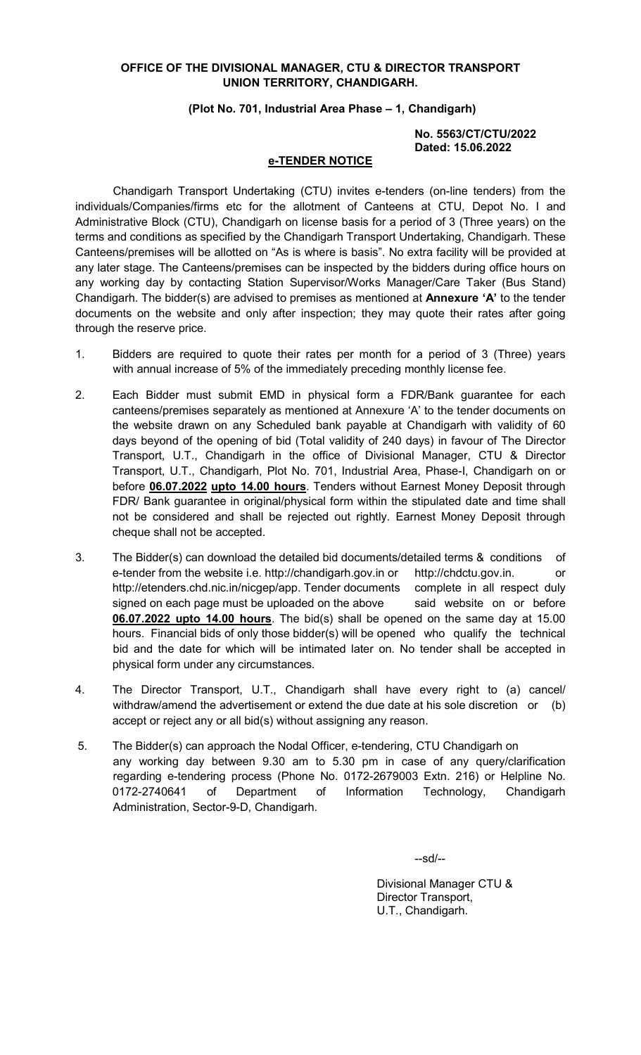### OFFICE OF THE DIVISIONAL MANAGER, CTU & DIRECTOR TRANSPORT UNION TERRITORY, CHANDIGARH.

#### (Plot No. 701, Industrial Area Phase – 1, Chandigarh)

#### No. 5563/CT/CTU/2022 Dated: 15.06.2022

#### e-TENDER NOTICE

 Chandigarh Transport Undertaking (CTU) invites e-tenders (on-line tenders) from the individuals/Companies/firms etc for the allotment of Canteens at CTU, Depot No. I and Administrative Block (CTU), Chandigarh on license basis for a period of 3 (Three years) on the terms and conditions as specified by the Chandigarh Transport Undertaking, Chandigarh. These Canteens/premises will be allotted on "As is where is basis". No extra facility will be provided at any later stage. The Canteens/premises can be inspected by the bidders during office hours on any working day by contacting Station Supervisor/Works Manager/Care Taker (Bus Stand) Chandigarh. The bidder(s) are advised to premises as mentioned at **Annexure 'A'** to the tender documents on the website and only after inspection; they may quote their rates after going through the reserve price.

- 1. Bidders are required to quote their rates per month for a period of 3 (Three) years with annual increase of 5% of the immediately preceding monthly license fee.
- 2. Each Bidder must submit EMD in physical form a FDR/Bank guarantee for each canteens/premises separately as mentioned at Annexure 'A' to the tender documents on the website drawn on any Scheduled bank payable at Chandigarh with validity of 60 days beyond of the opening of bid (Total validity of 240 days) in favour of The Director Transport, U.T., Chandigarh in the office of Divisional Manager, CTU & Director Transport, U.T., Chandigarh, Plot No. 701, Industrial Area, Phase-I, Chandigarh on or before 06.07.2022 upto 14.00 hours. Tenders without Earnest Money Deposit through FDR/ Bank guarantee in original/physical form within the stipulated date and time shall not be considered and shall be rejected out rightly. Earnest Money Deposit through cheque shall not be accepted.
- 3. The Bidder(s) can download the detailed bid documents/detailed terms & conditions of e-tender from the website i.e. http://chandigarh.gov.in or http://chdctu.gov.in. or http://etenders.chd.nic.in/nicgep/app. Tender documents complete in all respect duly signed on each page must be uploaded on the above said website on or before 06.07.2022 upto 14.00 hours. The bid(s) shall be opened on the same day at 15.00 hours. Financial bids of only those bidder(s) will be opened who qualify the technical bid and the date for which will be intimated later on. No tender shall be accepted in physical form under any circumstances.
- 4. The Director Transport, U.T., Chandigarh shall have every right to (a) cancel/ withdraw/amend the advertisement or extend the due date at his sole discretion or (b) accept or reject any or all bid(s) without assigning any reason.
- 5. The Bidder(s) can approach the Nodal Officer, e-tendering, CTU Chandigarh on any working day between 9.30 am to 5.30 pm in case of any query/clarification regarding e-tendering process (Phone No. 0172-2679003 Extn. 216) or Helpline No. 0172-2740641 of Department of Information Technology, Chandigarh Administration, Sector-9-D, Chandigarh.

--sd/--

 Divisional Manager CTU & Director Transport, U.T., Chandigarh.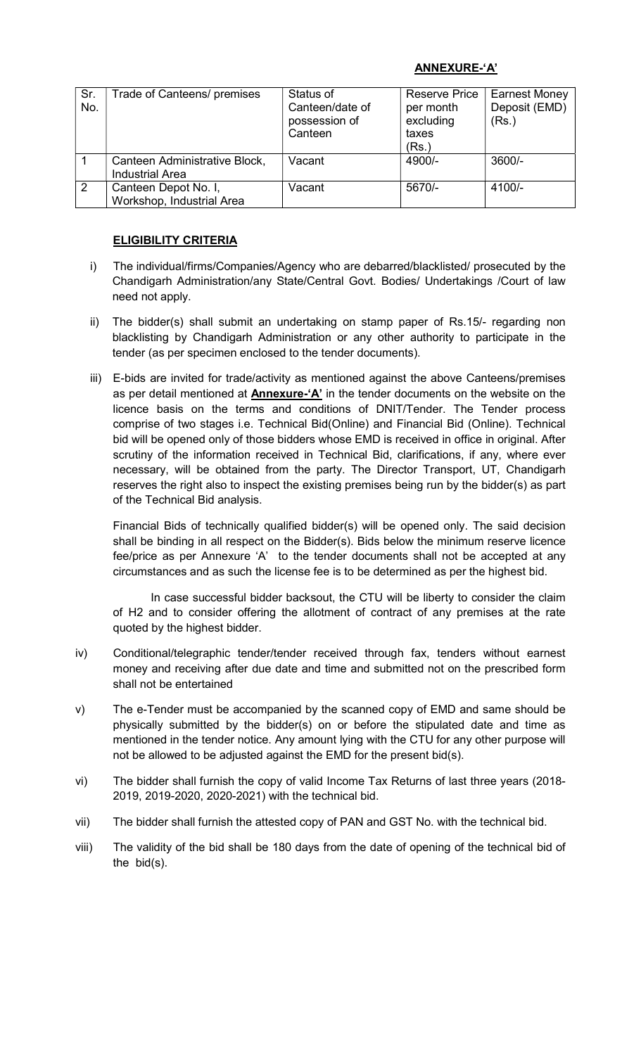# ANNEXURE-'A'

| Sr.<br>No.     | Trade of Canteens/ premises                             | Status of<br>Canteen/date of<br>possession of<br>Canteen | <b>Reserve Price</b><br>per month<br>excluding<br>taxes<br>(Rs.) | <b>Earnest Money</b><br>Deposit (EMD)<br>(Rs.) |
|----------------|---------------------------------------------------------|----------------------------------------------------------|------------------------------------------------------------------|------------------------------------------------|
|                | Canteen Administrative Block,<br><b>Industrial Area</b> | Vacant                                                   | 4900/-                                                           | $3600/-$                                       |
| $\overline{2}$ | Canteen Depot No. I,<br>Workshop, Industrial Area       | Vacant                                                   | 5670/-                                                           | $4100/-$                                       |

# ELIGIBILITY CRITERIA

- i) The individual/firms/Companies/Agency who are debarred/blacklisted/ prosecuted by the Chandigarh Administration/any State/Central Govt. Bodies/ Undertakings /Court of law need not apply.
- ii) The bidder(s) shall submit an undertaking on stamp paper of Rs.15/- regarding non blacklisting by Chandigarh Administration or any other authority to participate in the tender (as per specimen enclosed to the tender documents).
- iii) E-bids are invited for trade/activity as mentioned against the above Canteens/premises as per detail mentioned at **Annexure-'A'** in the tender documents on the website on the licence basis on the terms and conditions of DNIT/Tender. The Tender process comprise of two stages i.e. Technical Bid(Online) and Financial Bid (Online). Technical bid will be opened only of those bidders whose EMD is received in office in original. After scrutiny of the information received in Technical Bid, clarifications, if any, where ever necessary, will be obtained from the party. The Director Transport, UT, Chandigarh reserves the right also to inspect the existing premises being run by the bidder(s) as part of the Technical Bid analysis.

 Financial Bids of technically qualified bidder(s) will be opened only. The said decision shall be binding in all respect on the Bidder(s). Bids below the minimum reserve licence fee/price as per Annexure 'A' to the tender documents shall not be accepted at any circumstances and as such the license fee is to be determined as per the highest bid.

In case successful bidder backsout, the CTU will be liberty to consider the claim of H2 and to consider offering the allotment of contract of any premises at the rate quoted by the highest bidder.

- iv) Conditional/telegraphic tender/tender received through fax, tenders without earnest money and receiving after due date and time and submitted not on the prescribed form shall not be entertained
- v) The e-Tender must be accompanied by the scanned copy of EMD and same should be physically submitted by the bidder(s) on or before the stipulated date and time as mentioned in the tender notice. Any amount lying with the CTU for any other purpose will not be allowed to be adjusted against the EMD for the present bid(s).
- vi) The bidder shall furnish the copy of valid Income Tax Returns of last three years (2018- 2019, 2019-2020, 2020-2021) with the technical bid.
- vii) The bidder shall furnish the attested copy of PAN and GST No. with the technical bid.
- viii) The validity of the bid shall be 180 days from the date of opening of the technical bid of the bid(s).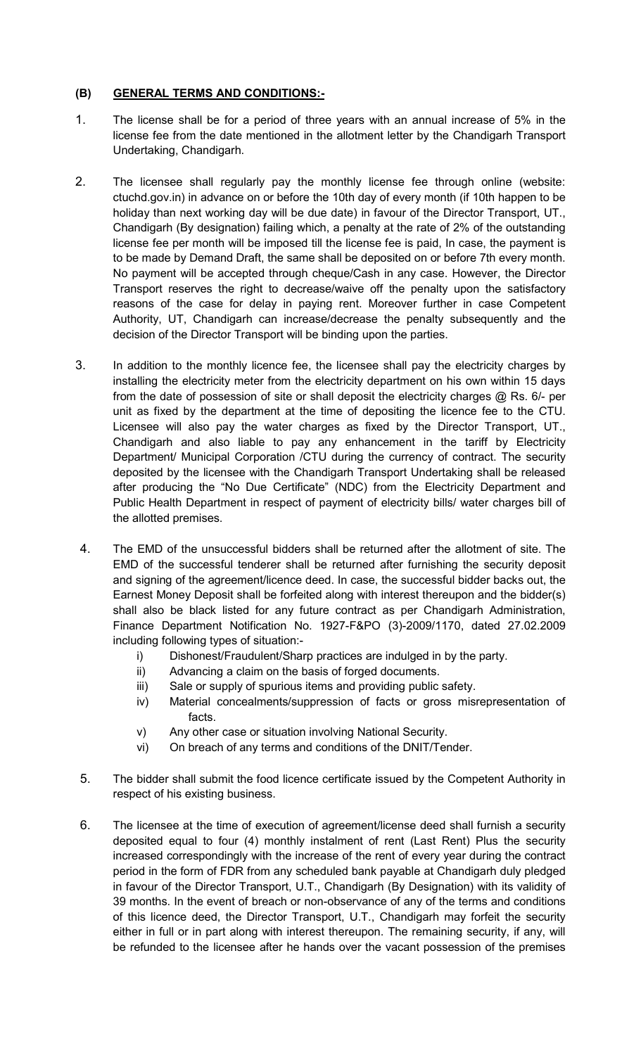# (B) GENERAL TERMS AND CONDITIONS:-

- 1. The license shall be for a period of three years with an annual increase of 5% in the license fee from the date mentioned in the allotment letter by the Chandigarh Transport Undertaking, Chandigarh.
- 2. The licensee shall regularly pay the monthly license fee through online (website: ctuchd.gov.in) in advance on or before the 10th day of every month (if 10th happen to be holiday than next working day will be due date) in favour of the Director Transport, UT., Chandigarh (By designation) failing which, a penalty at the rate of 2% of the outstanding license fee per month will be imposed till the license fee is paid, In case, the payment is to be made by Demand Draft, the same shall be deposited on or before 7th every month. No payment will be accepted through cheque/Cash in any case. However, the Director Transport reserves the right to decrease/waive off the penalty upon the satisfactory reasons of the case for delay in paying rent. Moreover further in case Competent Authority, UT, Chandigarh can increase/decrease the penalty subsequently and the decision of the Director Transport will be binding upon the parties.
- 3. In addition to the monthly licence fee, the licensee shall pay the electricity charges by installing the electricity meter from the electricity department on his own within 15 days from the date of possession of site or shall deposit the electricity charges  $@$  Rs. 6/- per unit as fixed by the department at the time of depositing the licence fee to the CTU. Licensee will also pay the water charges as fixed by the Director Transport, UT., Chandigarh and also liable to pay any enhancement in the tariff by Electricity Department/ Municipal Corporation /CTU during the currency of contract. The security deposited by the licensee with the Chandigarh Transport Undertaking shall be released after producing the "No Due Certificate" (NDC) from the Electricity Department and Public Health Department in respect of payment of electricity bills/ water charges bill of the allotted premises.
- 4. The EMD of the unsuccessful bidders shall be returned after the allotment of site. The EMD of the successful tenderer shall be returned after furnishing the security deposit and signing of the agreement/licence deed. In case, the successful bidder backs out, the Earnest Money Deposit shall be forfeited along with interest thereupon and the bidder(s) shall also be black listed for any future contract as per Chandigarh Administration, Finance Department Notification No. 1927-F&PO (3)-2009/1170, dated 27.02.2009 including following types of situation:
	- i) Dishonest/Fraudulent/Sharp practices are indulged in by the party.
	- ii) Advancing a claim on the basis of forged documents.
	- iii) Sale or supply of spurious items and providing public safety.
	- iv) Material concealments/suppression of facts or gross misrepresentation of facts.
	- v) Any other case or situation involving National Security.
	- vi) On breach of any terms and conditions of the DNIT/Tender.
- 5. The bidder shall submit the food licence certificate issued by the Competent Authority in respect of his existing business.
- 6. The licensee at the time of execution of agreement/license deed shall furnish a security deposited equal to four (4) monthly instalment of rent (Last Rent) Plus the security increased correspondingly with the increase of the rent of every year during the contract period in the form of FDR from any scheduled bank payable at Chandigarh duly pledged in favour of the Director Transport, U.T., Chandigarh (By Designation) with its validity of 39 months. In the event of breach or non-observance of any of the terms and conditions of this licence deed, the Director Transport, U.T., Chandigarh may forfeit the security either in full or in part along with interest thereupon. The remaining security, if any, will be refunded to the licensee after he hands over the vacant possession of the premises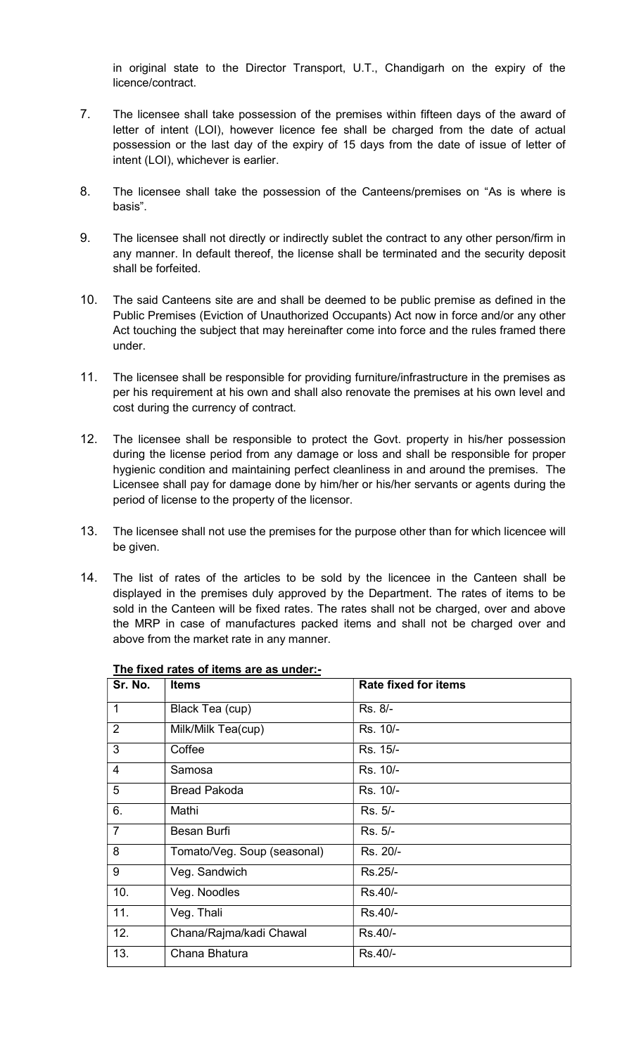in original state to the Director Transport, U.T., Chandigarh on the expiry of the licence/contract.

- 7. The licensee shall take possession of the premises within fifteen days of the award of letter of intent (LOI), however licence fee shall be charged from the date of actual possession or the last day of the expiry of 15 days from the date of issue of letter of intent (LOI), whichever is earlier.
- 8. The licensee shall take the possession of the Canteens/premises on "As is where is basis".
- 9. The licensee shall not directly or indirectly sublet the contract to any other person/firm in any manner. In default thereof, the license shall be terminated and the security deposit shall be forfeited.
- 10. The said Canteens site are and shall be deemed to be public premise as defined in the Public Premises (Eviction of Unauthorized Occupants) Act now in force and/or any other Act touching the subject that may hereinafter come into force and the rules framed there under.
- 11. The licensee shall be responsible for providing furniture/infrastructure in the premises as per his requirement at his own and shall also renovate the premises at his own level and cost during the currency of contract.
- 12. The licensee shall be responsible to protect the Govt. property in his/her possession during the license period from any damage or loss and shall be responsible for proper hygienic condition and maintaining perfect cleanliness in and around the premises. The Licensee shall pay for damage done by him/her or his/her servants or agents during the period of license to the property of the licensor.
- 13. The licensee shall not use the premises for the purpose other than for which licencee will be given.
- 14. The list of rates of the articles to be sold by the licencee in the Canteen shall be displayed in the premises duly approved by the Department. The rates of items to be sold in the Canteen will be fixed rates. The rates shall not be charged, over and above the MRP in case of manufactures packed items and shall not be charged over and above from the market rate in any manner.

| Sr. No.        | <b>Items</b>                | <b>Rate fixed for items</b> |
|----------------|-----------------------------|-----------------------------|
| $\mathbf 1$    | Black Tea (cup)             | Rs. 8/-                     |
| $\overline{2}$ | Milk/Milk Tea(cup)          | Rs. 10/-                    |
| 3              | Coffee                      | Rs. 15/-                    |
| $\overline{4}$ | Samosa                      | Rs. 10/-                    |
| 5              | <b>Bread Pakoda</b>         | Rs. 10/-                    |
| 6.             | Mathi                       | Rs. 5/-                     |
| 7              | Besan Burfi                 | Rs. 5/-                     |
| 8              | Tomato/Veg. Soup (seasonal) | Rs. 20/-                    |
| 9              | Veg. Sandwich               | Rs.25/-                     |
| 10.            | Veg. Noodles                | Rs.40/-                     |
| 11.            | Veg. Thali                  | Rs.40/-                     |
| 12.            | Chana/Rajma/kadi Chawal     | Rs.40/-                     |
| 13.            | Chana Bhatura               | Rs.40/-                     |

### The fixed rates of items are as under:-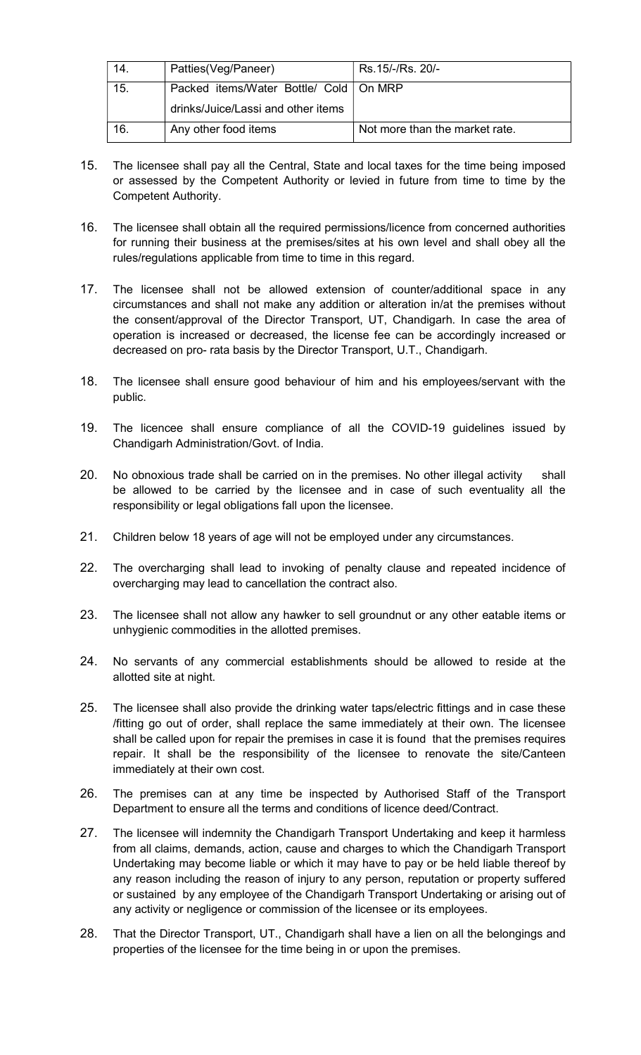| 14. | Patties(Veg/Paneer)                      | Rs.15/-/Rs. 20/-               |
|-----|------------------------------------------|--------------------------------|
| 15. | Packed items/Water Bottle/ Cold   On MRP |                                |
|     | drinks/Juice/Lassi and other items       |                                |
| 16. | Any other food items                     | Not more than the market rate. |

- 15. The licensee shall pay all the Central, State and local taxes for the time being imposed or assessed by the Competent Authority or levied in future from time to time by the Competent Authority.
- 16. The licensee shall obtain all the required permissions/licence from concerned authorities for running their business at the premises/sites at his own level and shall obey all the rules/regulations applicable from time to time in this regard.
- 17. The licensee shall not be allowed extension of counter/additional space in any circumstances and shall not make any addition or alteration in/at the premises without the consent/approval of the Director Transport, UT, Chandigarh. In case the area of operation is increased or decreased, the license fee can be accordingly increased or decreased on pro- rata basis by the Director Transport, U.T., Chandigarh.
- 18. The licensee shall ensure good behaviour of him and his employees/servant with the public.
- 19. The licencee shall ensure compliance of all the COVID-19 guidelines issued by Chandigarh Administration/Govt. of India.
- 20. No obnoxious trade shall be carried on in the premises. No other illegal activity shall be allowed to be carried by the licensee and in case of such eventuality all the responsibility or legal obligations fall upon the licensee.
- 21. Children below 18 years of age will not be employed under any circumstances.
- 22. The overcharging shall lead to invoking of penalty clause and repeated incidence of overcharging may lead to cancellation the contract also.
- 23. The licensee shall not allow any hawker to sell groundnut or any other eatable items or unhygienic commodities in the allotted premises.
- 24. No servants of any commercial establishments should be allowed to reside at the allotted site at night.
- 25. The licensee shall also provide the drinking water taps/electric fittings and in case these /fitting go out of order, shall replace the same immediately at their own. The licensee shall be called upon for repair the premises in case it is found that the premises requires repair. It shall be the responsibility of the licensee to renovate the site/Canteen immediately at their own cost.
- 26. The premises can at any time be inspected by Authorised Staff of the Transport Department to ensure all the terms and conditions of licence deed/Contract.
- 27. The licensee will indemnity the Chandigarh Transport Undertaking and keep it harmless from all claims, demands, action, cause and charges to which the Chandigarh Transport Undertaking may become liable or which it may have to pay or be held liable thereof by any reason including the reason of injury to any person, reputation or property suffered or sustained by any employee of the Chandigarh Transport Undertaking or arising out of any activity or negligence or commission of the licensee or its employees.
- 28. That the Director Transport, UT., Chandigarh shall have a lien on all the belongings and properties of the licensee for the time being in or upon the premises.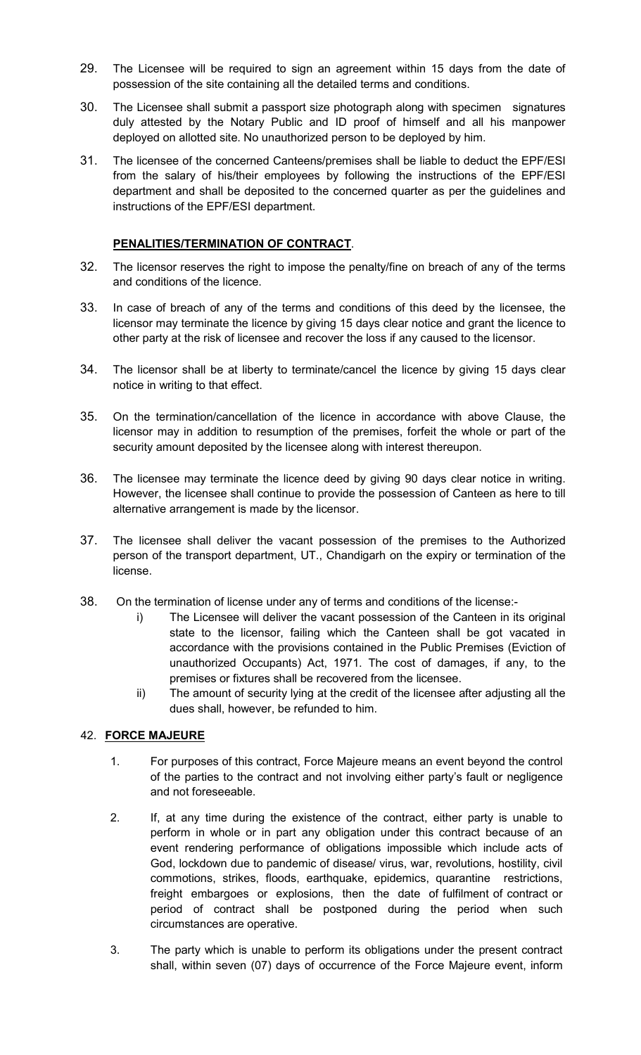- 29. The Licensee will be required to sign an agreement within 15 days from the date of possession of the site containing all the detailed terms and conditions.
- 30. The Licensee shall submit a passport size photograph along with specimen signatures duly attested by the Notary Public and ID proof of himself and all his manpower deployed on allotted site. No unauthorized person to be deployed by him.
- 31. The licensee of the concerned Canteens/premises shall be liable to deduct the EPF/ESI from the salary of his/their employees by following the instructions of the EPF/ESI department and shall be deposited to the concerned quarter as per the guidelines and instructions of the EPF/ESI department.

### PENALITIES/TERMINATION OF CONTRACT.

- 32. The licensor reserves the right to impose the penalty/fine on breach of any of the terms and conditions of the licence.
- 33. In case of breach of any of the terms and conditions of this deed by the licensee, the licensor may terminate the licence by giving 15 days clear notice and grant the licence to other party at the risk of licensee and recover the loss if any caused to the licensor.
- 34. The licensor shall be at liberty to terminate/cancel the licence by giving 15 days clear notice in writing to that effect.
- 35. On the termination/cancellation of the licence in accordance with above Clause, the licensor may in addition to resumption of the premises, forfeit the whole or part of the security amount deposited by the licensee along with interest thereupon.
- 36. The licensee may terminate the licence deed by giving 90 days clear notice in writing. However, the licensee shall continue to provide the possession of Canteen as here to till alternative arrangement is made by the licensor.
- 37. The licensee shall deliver the vacant possession of the premises to the Authorized person of the transport department, UT., Chandigarh on the expiry or termination of the license.
- 38. On the termination of license under any of terms and conditions of the license:
	- i) The Licensee will deliver the vacant possession of the Canteen in its original state to the licensor, failing which the Canteen shall be got vacated in accordance with the provisions contained in the Public Premises (Eviction of unauthorized Occupants) Act, 1971. The cost of damages, if any, to the premises or fixtures shall be recovered from the licensee.
	- ii) The amount of security lying at the credit of the licensee after adjusting all the dues shall, however, be refunded to him.

# 42. FORCE MAJEURE

- 1. For purposes of this contract, Force Majeure means an event beyond the control of the parties to the contract and not involving either party's fault or negligence and not foreseeable.
- 2. If, at any time during the existence of the contract, either party is unable to perform in whole or in part any obligation under this contract because of an event rendering performance of obligations impossible which include acts of God, lockdown due to pandemic of disease/ virus, war, revolutions, hostility, civil commotions, strikes, floods, earthquake, epidemics, quarantine restrictions, freight embargoes or explosions, then the date of fulfilment of contract or period of contract shall be postponed during the period when such circumstances are operative.
- 3. The party which is unable to perform its obligations under the present contract shall, within seven (07) days of occurrence of the Force Majeure event, inform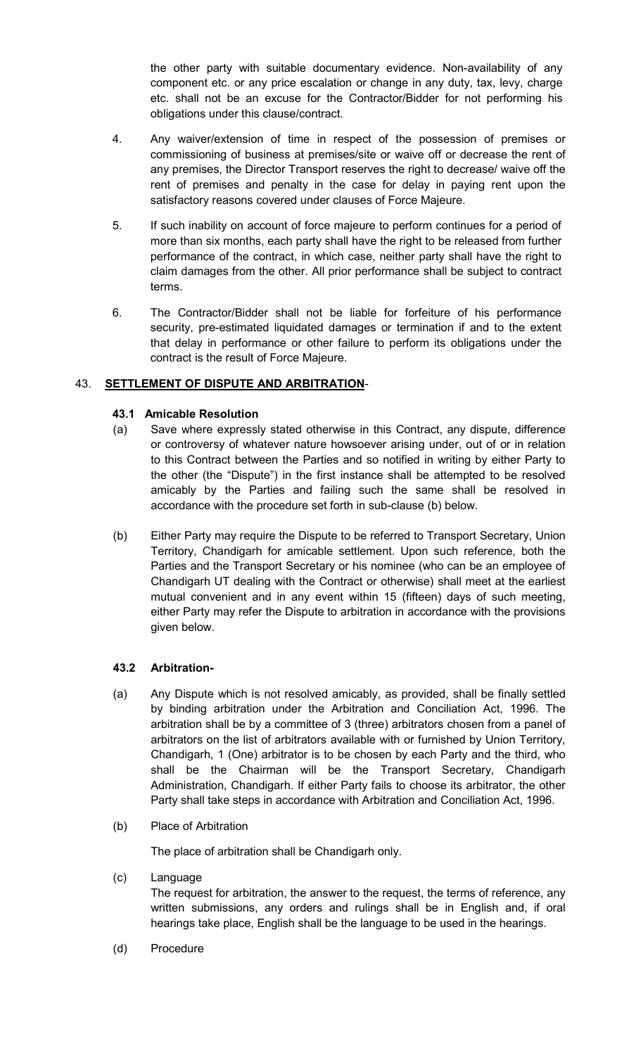the other party with suitable documentary evidence. Non-availability of any component etc. or any price escalation or change in any duty, tax, levy, charge etc. shall not be an excuse for the Contractor/Bidder for not performing his obligations under this clause/contract.

- 4. Any waiver/extension of time in respect of the possession of premises or commissioning of business at premises/site or waive off or decrease the rent of any premises, the Director Transport reserves the right to decrease/ waive off the rent of premises and penalty in the case for delay in paying rent upon the satisfactory reasons covered under clauses of Force Majeure.
- 5. If such inability on account of force majeure to perform continues for a period of more than six months, each party shall have the right to be released from further performance of the contract, in which case, neither party shall have the right to claim damages from the other. All prior performance shall be subject to contract terms.
- 6. The Contractor/Bidder shall not be liable for forfeiture of his performance security, pre-estimated liquidated damages or termination if and to the extent that delay in performance or other failure to perform its obligations under the contract is the result of Force Majeure.

# 43. SETTLEMENT OF DISPUTE AND ARBITRATION-

## 43.1 Amicable Resolution

- (a) Save where expressly stated otherwise in this Contract, any dispute, difference or controversy of whatever nature howsoever arising under, out of or in relation to this Contract between the Parties and so notified in writing by either Party to the other (the "Dispute") in the first instance shall be attempted to be resolved amicably by the Parties and failing such the same shall be resolved in accordance with the procedure set forth in sub-clause (b) below.
- (b) Either Party may require the Dispute to be referred to Transport Secretary, Union Territory, Chandigarh for amicable settlement. Upon such reference, both the Parties and the Transport Secretary or his nominee (who can be an employee of Chandigarh UT dealing with the Contract or otherwise) shall meet at the earliest mutual convenient and in any event within 15 (fifteen) days of such meeting, either Party may refer the Dispute to arbitration in accordance with the provisions given below.

### 43.2 Arbitration-

- (a) Any Dispute which is not resolved amicably, as provided, shall be finally settled by binding arbitration under the Arbitration and Conciliation Act, 1996. The arbitration shall be by a committee of 3 (three) arbitrators chosen from a panel of arbitrators on the list of arbitrators available with or furnished by Union Territory, Chandigarh, 1 (One) arbitrator is to be chosen by each Party and the third, who shall be the Chairman will be the Transport Secretary, Chandigarh Administration, Chandigarh. If either Party fails to choose its arbitrator, the other Party shall take steps in accordance with Arbitration and Conciliation Act, 1996.
- (b) Place of Arbitration

The place of arbitration shall be Chandigarh only.

(c) Language

The request for arbitration, the answer to the request, the terms of reference, any written submissions, any orders and rulings shall be in English and, if oral hearings take place, English shall be the language to be used in the hearings.

(d) Procedure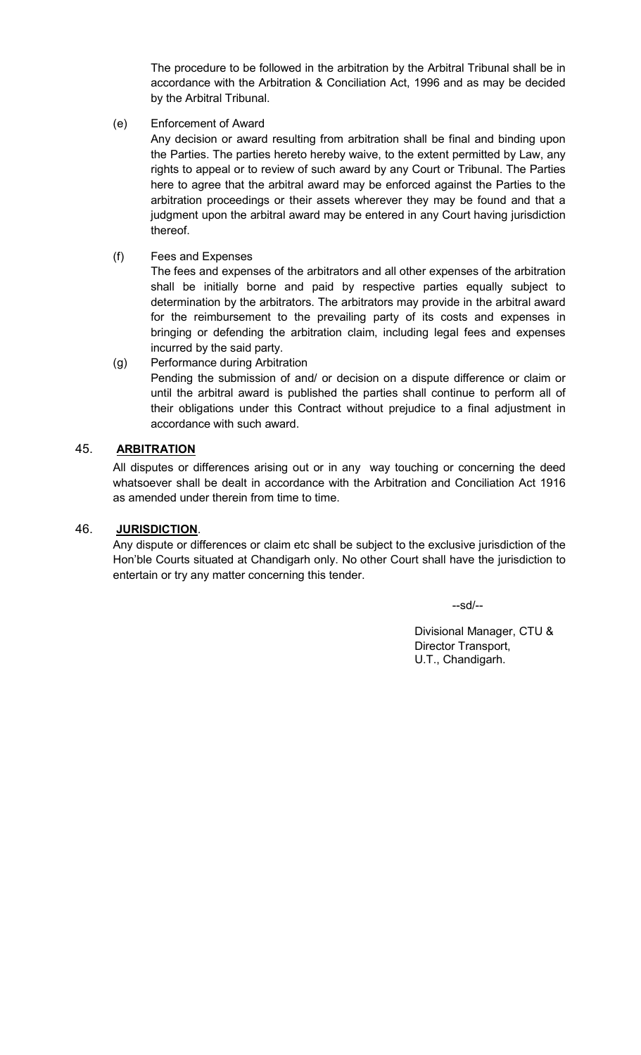The procedure to be followed in the arbitration by the Arbitral Tribunal shall be in accordance with the Arbitration & Conciliation Act, 1996 and as may be decided by the Arbitral Tribunal.

(e) Enforcement of Award

Any decision or award resulting from arbitration shall be final and binding upon the Parties. The parties hereto hereby waive, to the extent permitted by Law, any rights to appeal or to review of such award by any Court or Tribunal. The Parties here to agree that the arbitral award may be enforced against the Parties to the arbitration proceedings or their assets wherever they may be found and that a judgment upon the arbitral award may be entered in any Court having jurisdiction thereof.

(f) Fees and Expenses

The fees and expenses of the arbitrators and all other expenses of the arbitration shall be initially borne and paid by respective parties equally subject to determination by the arbitrators. The arbitrators may provide in the arbitral award for the reimbursement to the prevailing party of its costs and expenses in bringing or defending the arbitration claim, including legal fees and expenses incurred by the said party.

(g) Performance during Arbitration Pending the submission of and/ or decision on a dispute difference or claim or until the arbitral award is published the parties shall continue to perform all of their obligations under this Contract without prejudice to a final adjustment in accordance with such award.

## 45. ARBITRATION

All disputes or differences arising out or in any way touching or concerning the deed whatsoever shall be dealt in accordance with the Arbitration and Conciliation Act 1916 as amended under therein from time to time.

# 46. JURISDICTION.

 Any dispute or differences or claim etc shall be subject to the exclusive jurisdiction of the Hon'ble Courts situated at Chandigarh only. No other Court shall have the jurisdiction to entertain or try any matter concerning this tender.

--sd/--

Divisional Manager, CTU & Director Transport, U.T., Chandigarh.